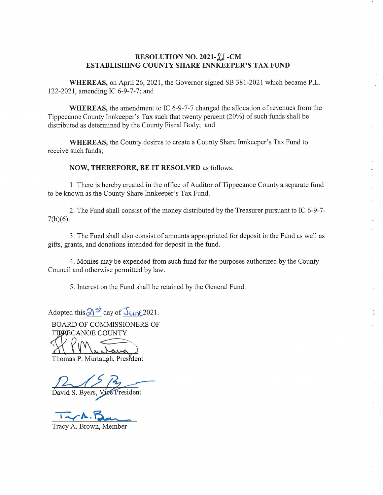## **RESOLUTION NO. 2021-2. - CM ESTABLISHING COUNTY SHARE INNKEEPER'S** TAX **FUND**

**WHEREAS,** on April 26, 2021, the Governor signed SB 381-2021 **which** became P.L. 122-2021, amending IC 6-9-7-7; and

**WHEREAS,** the amendment to IC 6-9-7-7 changed the allocation of revenues from the Tippecanoe County Innkeeper's Tax **such** that twenty percent (20%) of such funds shall be distributed as determined by the County Fiscal Body; and

**WHEREAS,** the County desires to create a County Share Innkeeper's Tax Fund to receive **such** funds;

**NOW, THEREFORE,** BE IT RESOLVED as follows:

1. There is hereby created in the office of Auditor of Tippecanoe County **a** separate fund to be **known** as the County Share Innkeeper's Tax Fund.

2. The Fund shall consist of the money distributed by the Treasurer pursuant to IC 6-9-7-  $7(b)(6)$ .

3. The Fund shall also consist of amounts appropriated for deposit in the Fund as well as gifts, grants, and donations intended for deposit in the fund.

4. Monies may be expended **from such** fund for the purposes authorized by the County Council and otherwise permitted by law.

5. Interest on the **Fund** shall be retained by the General Fund.

Adopted this  $2\left| \frac{3}{2} \right|$  day of  $\frac{1}{2}$  (10) 2021.

BOARD OF COMMISSIONERS OF TIPRECANOE COUNTY

Thomas P. Murtaugh, President

David S. Byers, Vice President

 $T_{x}A.B_{xx}$ 

Tracy A. Brown, Member